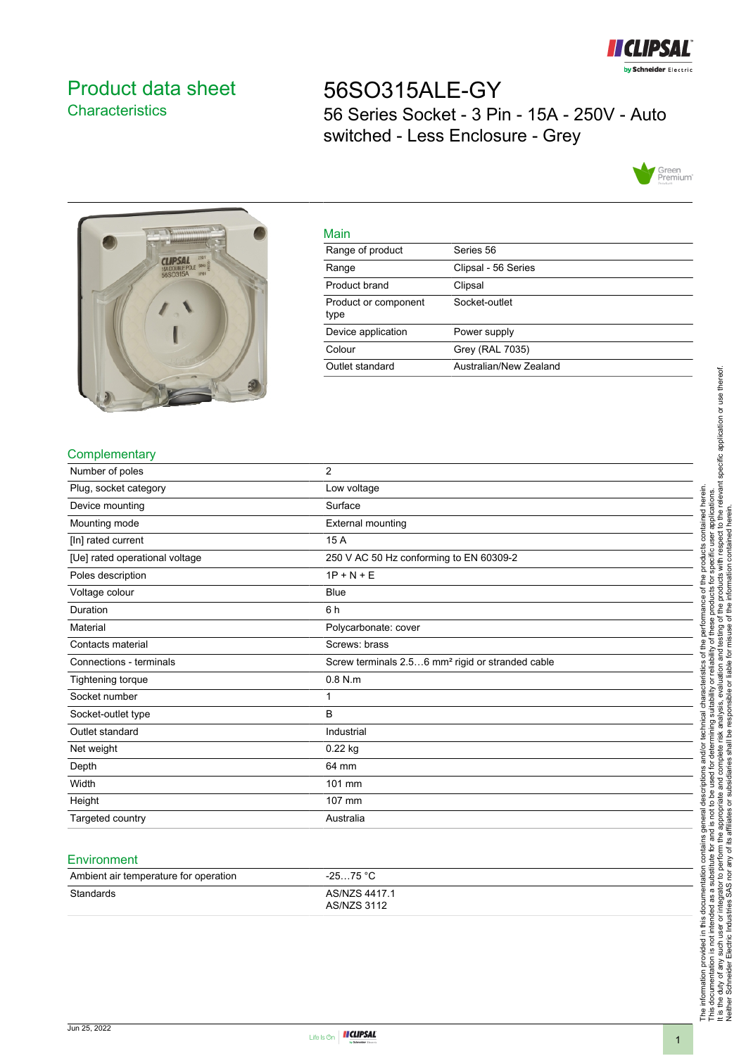

# <span id="page-0-0"></span>Product data sheet **Characteristics**

56SO315ALE-GY 56 Series Socket - 3 Pin - 15A - 250V - Auto switched - Less Enclosure - Grey





| Main                         |                        |
|------------------------------|------------------------|
| Range of product             | Series 56              |
| Range                        | Clipsal - 56 Series    |
| Product brand                | Clipsal                |
| Product or component<br>type | Socket-outlet          |
| Device application           | Power supply           |
| Colour                       | Grey (RAL 7035)        |
| Outlet standard              | Australian/New Zealand |

### **Complementary**

| Number of poles                | $\overline{2}$                                               |
|--------------------------------|--------------------------------------------------------------|
| Plug, socket category          | Low voltage                                                  |
| Device mounting                | Surface                                                      |
| Mounting mode                  | External mounting                                            |
| [In] rated current             | 15 A                                                         |
| [Ue] rated operational voltage | 250 V AC 50 Hz conforming to EN 60309-2                      |
| Poles description              | $1P + N + E$                                                 |
| Voltage colour                 | <b>Blue</b>                                                  |
| Duration                       | 6 h                                                          |
| Material                       | Polycarbonate: cover                                         |
| Contacts material              | Screws: brass                                                |
| Connections - terminals        | Screw terminals 2.56 mm <sup>2</sup> rigid or stranded cable |
| Tightening torque              | $0.8$ N.m.                                                   |
| Socket number                  | 1                                                            |
| Socket-outlet type             | B                                                            |
| Outlet standard                | Industrial                                                   |
| Net weight                     | $0.22$ kg                                                    |
| Depth                          | 64 mm                                                        |
| Width                          | 101 mm                                                       |
| Height                         | 107 mm                                                       |
| Targeted country               | Australia                                                    |
|                                |                                                              |

## Environment

| Ambient air temperature for operation | $-2575 °C$                          |
|---------------------------------------|-------------------------------------|
| Standards                             | AS/NZS 4417.1<br><b>AS/NZS 3112</b> |